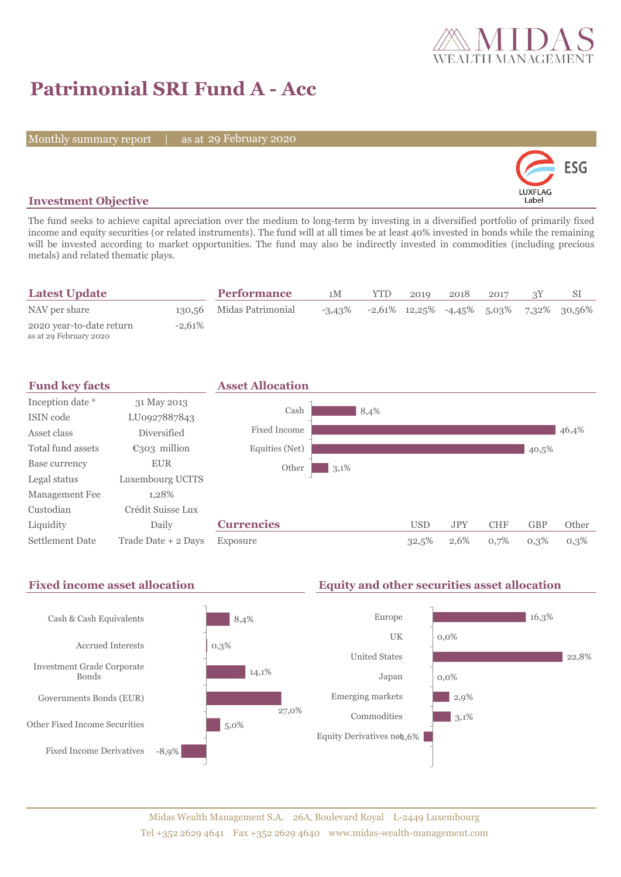

# **Patrimonial SRI Fund A - Acc**

Monthly summary report | as at 29 February 2020



# **Investment Objective**

The fund seeks to achieve capital apreciation over the medium to long-term by investing in a diversified portfolio of primarily fixed income and equity securities (or related instruments). The fund will at all times be at least 40% invested in bonds while the remaining will be invested according to market opportunities. The fund may also be indirectly invested in commodities (including precious metals) and related thematic plays.

| <b>Latest Update</b>                               |           | <b>Performance</b>       | 1M        | <b>YTD</b> | 2019 | 2018 | 2017 |                                                   |
|----------------------------------------------------|-----------|--------------------------|-----------|------------|------|------|------|---------------------------------------------------|
| NAV per share                                      |           | 130,56 Midas Patrimonial | $-3.43\%$ |            |      |      |      | $-2,61\%$ 12,25\% $-4,45\%$ 5,03\% 7,32\% 30,56\% |
| 2020 year-to-date return<br>as at 29 February 2020 | $-2.61\%$ |                          |           |            |      |      |      |                                                   |



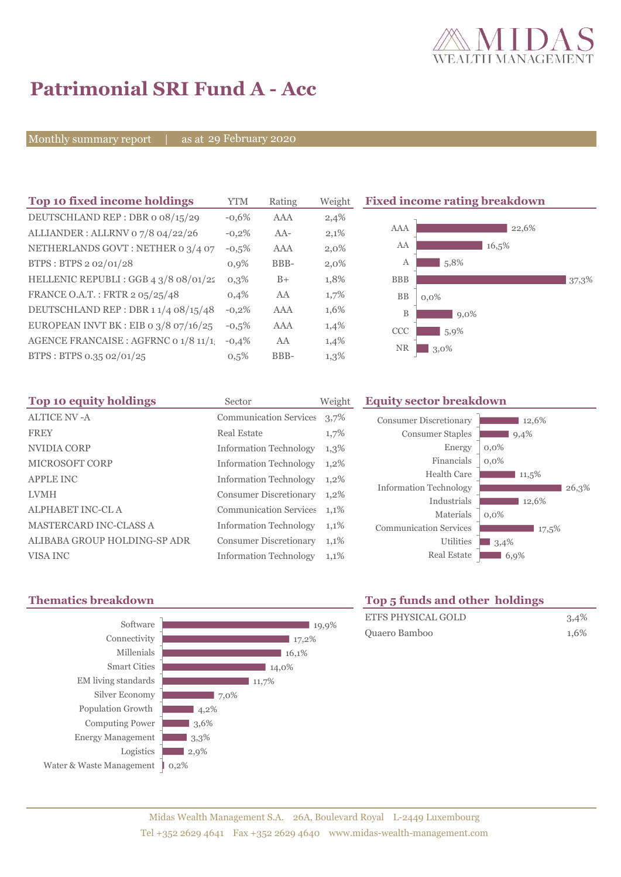

# **Patrimonial SRI Fund A - Acc**

Monthly summary report | as at 29 February 2020

| YTM     | Rating | Weight |
|---------|--------|--------|
| $-0,6%$ | AAA    | 2,4%   |
| $-0,2%$ | $AA-$  | 2,1%   |
| $-0,5%$ | AAA    | 2,0%   |
| 0.9%    | BBB-   | 2,0%   |
| $0.3\%$ | $B+$   | 1,8%   |
| 0.4%    | AA     | 1,7%   |
| $-0,2%$ | AAA    | 1,6%   |
| $-0.5%$ | AAA    | 1,4%   |
| $-0.4%$ | AA     | 1,4%   |
| 0.5%    | BBB-   | 1,3%   |
|         |        |        |

**Fixed income rating breakdown** 



| Top 10 equity holdings        | Sector                        | Weight  |
|-------------------------------|-------------------------------|---------|
| <b>ALTICE NV -A</b>           | <b>Communication Services</b> | 3,7%    |
| <b>FREY</b>                   | <b>Real Estate</b>            | 1,7%    |
| NVIDIA CORP                   | <b>Information Technology</b> | $1,3\%$ |
| <b>MICROSOFT CORP</b>         | <b>Information Technology</b> | 1,2%    |
| <b>APPLE INC</b>              | <b>Information Technology</b> | $1,2\%$ |
| <b>LVMH</b>                   | <b>Consumer Discretionary</b> | 1,2%    |
| <b>ALPHABET INC-CL A</b>      | <b>Communication Services</b> | 1,1%    |
| <b>MASTERCARD INC-CLASS A</b> | <b>Information Technology</b> | 1,1%    |
| ALIBABA GROUP HOLDING-SP ADR  | <b>Consumer Discretionary</b> | 1,1%    |
| VISA INC                      | <b>Information Technology</b> | 1,1%    |

# **Equity sector breakdown**

| <b>Consumer Discretionary</b><br><b>Consumer Staples</b> | 12,6%<br>9,4% |
|----------------------------------------------------------|---------------|
| Energy                                                   | $0,0\%$       |
| Financials                                               | 0.0%          |
| Health Care                                              | 11,5%         |
| <b>Information Technology</b>                            | 26,3%         |
| Industrials                                              | 12,6%         |
| Materials                                                | $0.0\%$       |
| <b>Communication Services</b>                            | 17,5%         |
| Utilities                                                | 3,4%          |
| <b>Real Estate</b>                                       | 6,9%          |



# **Thematics breakdown Top 5 funds and other holdings**

| ETFS PHYSICAL GOLD | 3,4% |
|--------------------|------|
| Quaero Bamboo      | 1.6% |